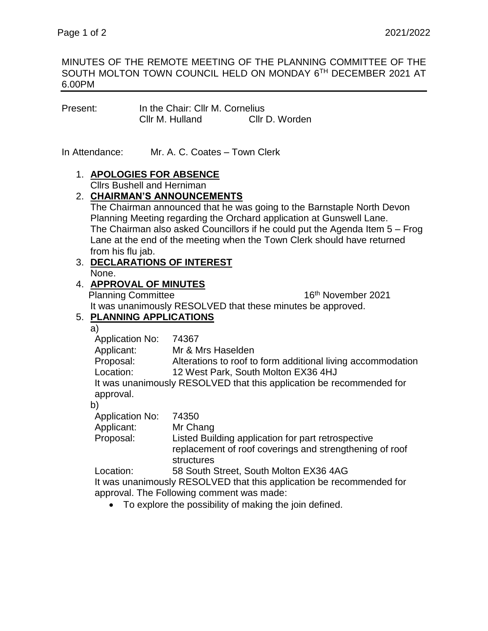#### MINUTES OF THE REMOTE MEETING OF THE PLANNING COMMITTEE OF THE SOUTH MOLTON TOWN COUNCIL HELD ON MONDAY 6TH DECEMBER 2021 AT 6.00PM

| Present: | In the Chair: Cllr M. Cornelius |                |
|----------|---------------------------------|----------------|
|          | Cllr M. Hulland                 | Cllr D. Worden |

In Attendance: Mr. A. C. Coates – Town Clerk

# 1. **APOLOGIES FOR ABSENCE**

Cllrs Bushell and Herniman

### 2. **CHAIRMAN'S ANNOUNCEMENTS**

The Chairman announced that he was going to the Barnstaple North Devon Planning Meeting regarding the Orchard application at Gunswell Lane. The Chairman also asked Councillors if he could put the Agenda Item 5 – Frog Lane at the end of the meeting when the Town Clerk should have returned from his flu jab.

# 3. **DECLARATIONS OF INTEREST**

None.

### 4. **APPROVAL OF MINUTES**

Planning Committee 16th November 2021 It was unanimously RESOLVED that these minutes be approved.

# 5. **PLANNING APPLICATIONS**

a)

| a,                     |                                                                      |
|------------------------|----------------------------------------------------------------------|
| <b>Application No:</b> | 74367                                                                |
| Applicant:             | Mr & Mrs Haselden                                                    |
| Proposal:              | Alterations to roof to form additional living accommodation          |
| Location:              | 12 West Park, South Molton EX36 4HJ                                  |
|                        | It was unanimously RESOLVED that this application be recommended for |
| approval.              |                                                                      |
| b)                     |                                                                      |
| <b>Application No:</b> | 74350                                                                |
| Applicant:             | Mr Chang                                                             |
| Proposal:              | Listed Building application for part retrospective                   |
|                        | replacement of roof coverings and strengthening of roof              |
|                        | structures                                                           |
| Location:              | 58 South Street, South Molton EX36 4AG                               |
|                        | It was unanimously RESOLVED that this application be recommended for |
|                        | approval. The Following comment was made:                            |

To explore the possibility of making the join defined.